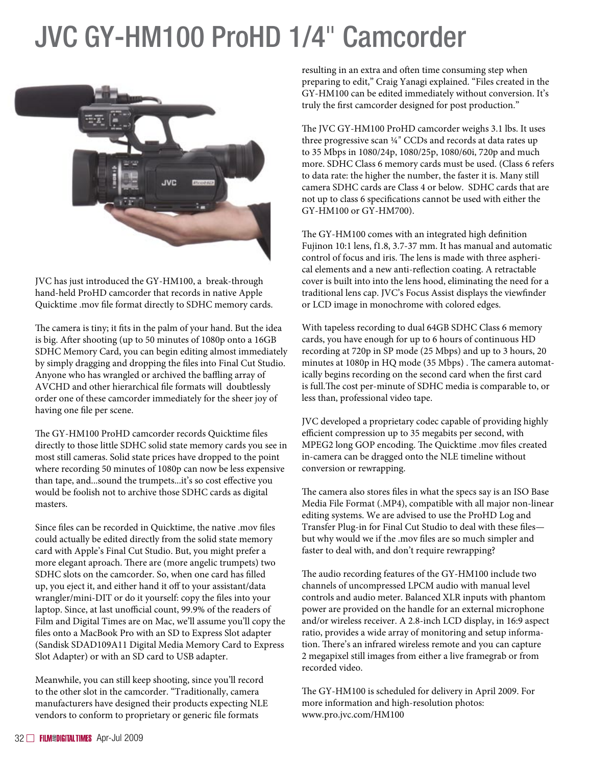## JVC GY-HM100 ProHD 1/4" Camcorder



JVC has just introduced the GY-HM100, a break-through hand-held ProHD camcorder that records in native Apple Quicktime .mov file format directly to SDHC memory cards.

The camera is tiny; it fits in the palm of your hand. But the idea is big. After shooting (up to 50 minutes of 1080p onto a 16GB SDHC Memory Card, you can begin editing almost immediately by simply dragging and dropping the files into Final Cut Studio. Anyone who has wrangled or archived the baffling array of AVCHD and other hierarchical file formats will doubtlessly order one of these camcorder immediately for the sheer joy of having one file per scene.

The GY-HM100 ProHD camcorder records Quicktime files directly to those little SDHC solid state memory cards you see in most still cameras. Solid state prices have dropped to the point where recording 50 minutes of 1080p can now be less expensive than tape, and...sound the trumpets...it's so cost effective you would be foolish not to archive those SDHC cards as digital masters.

Since files can be recorded in Quicktime, the native .mov files could actually be edited directly from the solid state memory card with Apple's Final Cut Studio. But, you might prefer a more elegant aproach. There are (more angelic trumpets) two SDHC slots on the camcorder. So, when one card has filled up, you eject it, and either hand it off to your assistant/data wrangler/mini-DIT or do it yourself: copy the files into your laptop. Since, at last unofficial count, 99.9% of the readers of Film and Digital Times are on Mac, we'll assume you'll copy the files onto a MacBook Pro with an SD to Express Slot adapter (Sandisk SDAD109A11 Digital Media Memory Card to Express Slot Adapter) or with an SD card to USB adapter.

Meanwhile, you can still keep shooting, since you'll record to the other slot in the camcorder. "Traditionally, camera manufacturers have designed their products expecting NLE vendors to conform to proprietary or generic file formats

resulting in an extra and often time consuming step when preparing to edit," Craig Yanagi explained. "Files created in the GY-HM100 can be edited immediately without conversion. It's truly the first camcorder designed for post production."

The JVC GY-HM100 ProHD camcorder weighs 3.1 lbs. It uses three progressive scan ¼" CCDs and records at data rates up to 35 Mbps in 1080/24p, 1080/25p, 1080/60i, 720p and much more. SDHC Class 6 memory cards must be used. (Class 6 refers to data rate: the higher the number, the faster it is. Many still camera SDHC cards are Class 4 or below. SDHC cards that are not up to class 6 specifications cannot be used with either the GY-HM100 or GY-HM700).

The GY-HM100 comes with an integrated high definition Fujinon 10:1 lens, f1.8, 3.7-37 mm. It has manual and automatic control of focus and iris. The lens is made with three aspherical elements and a new anti-reflection coating. A retractable cover is built into into the lens hood, eliminating the need for a traditional lens cap. JVC's Focus Assist displays the viewfinder or LCD image in monochrome with colored edges.

With tapeless recording to dual 64GB SDHC Class 6 memory cards, you have enough for up to 6 hours of continuous HD recording at 720p in SP mode (25 Mbps) and up to 3 hours, 20 minutes at 1080p in HQ mode (35 Mbps) . The camera automatically begins recording on the second card when the first card is full.The cost per-minute of SDHC media is comparable to, or less than, professional video tape.

JVC developed a proprietary codec capable of providing highly efficient compression up to 35 megabits per second, with MPEG2 long GOP encoding. The Quicktime .mov files created in-camera can be dragged onto the NLE timeline without conversion or rewrapping.

The camera also stores files in what the specs say is an ISO Base Media File Format (.MP4), compatible with all major non-linear editing systems. We are advised to use the ProHD Log and Transfer Plug-in for Final Cut Studio to deal with these files but why would we if the .mov files are so much simpler and faster to deal with, and don't require rewrapping?

The audio recording features of the GY-HM100 include two channels of uncompressed LPCM audio with manual level controls and audio meter. Balanced XLR inputs with phantom power are provided on the handle for an external microphone and/or wireless receiver. A 2.8-inch LCD display, in 16:9 aspect ratio, provides a wide array of monitoring and setup information. There's an infrared wireless remote and you can capture 2 megapixel still images from either a live framegrab or from recorded video.

The GY-HM100 is scheduled for delivery in April 2009. For more information and high-resolution photos: www.pro.jvc.com/HM100